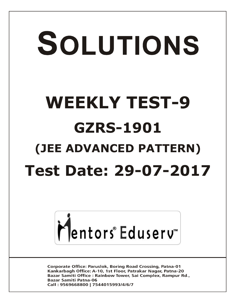# SOLUTIONS **WEEKLY TEST-9 GZRS-1901 (JEE ADVANCED PATTERN) Test Date: 29-07-2017**



**Corporate Office: Paruslok, Boring Road Crossing, Patna-01** Kankarbagh Office: A-10, 1st Floor, Patrakar Nagar, Patna-20 Bazar Samiti Office: Rainbow Tower, Sai Complex, Rampur Rd., **Bazar Samiti Patna-06** Call: 9569668800 | 7544015993/4/6/7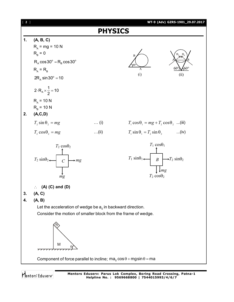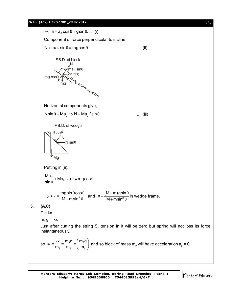$\Rightarrow$   $a = a_0 \cos \theta + g \sin \theta$ ......(i) Component of force perpendicular to incline  $N + ma_0 \sin \theta = mg \cos \theta$ .....(ii) N  $\textsf{m}$ a<sub>0</sub> sin $\theta$ mg  $cos<sub>0</sub>$ mg (ma<sub>o Cos</sub> 0 <sup>10\* mgsin<sub>o)</sub></sup>  $ma<sub>0</sub>$ F.B.D. of block Horizontal components give,  $N\sin\theta = Ma_0 \Rightarrow N = Ma_0 / \sin\theta$  .....(iii) Mg  $N_A'$  N cos $\theta$  $-N \sin\theta$ N F.B.D. of wedge Putting in (ii);  $\frac{\mathsf{Ma}_0}{\sin \theta}$  + Ma<sub>0</sub> sin  $\theta$  = mgcos sin + Ma $_{\rm o}$  sin  $\theta$  = mgcos  $\theta$  $\theta$  $\Rightarrow$  a<sub>0</sub> =  $\frac{0}{100}$  $a_0 = \frac{mg\sin\theta\cos\theta}{2}$  $M + m sin$  $=\frac{mgsin\theta cos\theta}{M+msin^2\theta}$  and  $a=\frac{(M+m)}{M+msin}$ 2  $\mathsf{M}\mathop{+}\mathsf{m}$ )gsin a  $M + m$ sin  $+$ m)gsin $\theta$  .  $=$  $+$  m sin<sup>2</sup>  $\theta$ in wedge frame. **5. (A,C)**  $T = kx$  $m_2$  g = kx Just after cutting the string S, tension in it will be zero but spring will not loss its force instantaneously. so  $a_1 = \frac{129}{m} = \frac{1129}{m} = \frac{1123}{m}$ 1  $1\frac{11}{1}$   $1\frac{11}{1}$  $a_1 = \frac{kx}{m_2} = \frac{m_2 g}{m_2} = \frac{m_2 g}{m_2}$  $\mathsf{m_1} \quad \mathsf{m_1} \quad \mathsf{\setminus m}$  $\alpha = \frac{kx}{m_1} = \frac{m_2 g}{m_1} = \left(\frac{m_2 g}{m_1}\right)$  and so block of mass  $m_2$  will have acceleration  $a_2 = 0$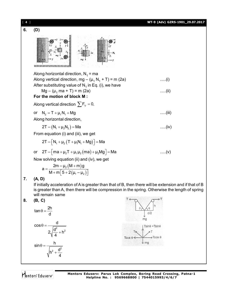

Mentors<sup>®</sup> Eduserv<sup>®</sup>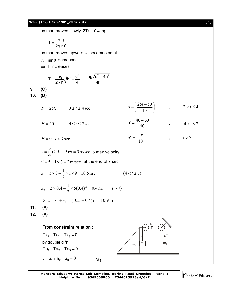# **WT-9 (Adv) GZRS-1901\_29.07.2017** [ **5** ]



**Mentors Eduserv: Parus Lok Complex, Boring Road Crossing, Patna-1 Helpline No. : 9569668800 | 7544015993/4/6/7**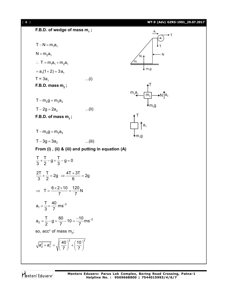

Mentors<sup>®</sup> Eduserv<sup>®</sup>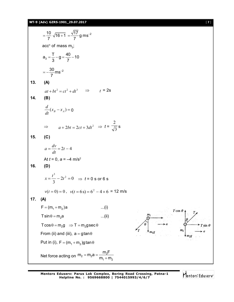**WT-9 (Adv) GZRS-1901\_29.07.2017** [ **7** ]

 $\frac{10}{7}$   $\sqrt{16+1}$  =  $\frac{\sqrt{17}}{7}$ g ms<sup>-2</sup>  $=\frac{10}{7}$   $\sqrt{16+1}$   $=\frac{\sqrt{11}}{7}$  g ms<sup>-1</sup> 7 7 acc $^{\mathsf{n}}$  of mass m $_{3}^{\mathsf{\cdot}}$ ;  $a_3 = \frac{T}{2} - g = \frac{40}{7} - 10$  $=\frac{1}{2}-g=\frac{16}{7}-1$ 3 7  $\frac{30}{7}$ ms<sup>-2</sup>  $=-\frac{30}{7}$ ms<sup>-1</sup> 7 **13. (A)**  $at + bt^2 = ct^2 + dt^3$   $\Rightarrow$   $t = 2s$ **14. (B)** *d*  $(x_{B} - x_{A}) =$ 0 *dt* 2  $\Rightarrow$   $a + 2bt = 2ct + 3dt^2 \Rightarrow t = \sqrt{3}$ s **15. (C)**  $a = \frac{dv}{d}$  $=\frac{av}{l} = 2t - 4$ *dt* At  $t = 0$ ,  $a = -4$  m/s<sup>2</sup> **16. (D)** <sup>3</sup>  $2t^2$  $x = \frac{t^3}{2} - 2t^2 = 0 \Rightarrow t = 0$  s or 6 s  $2t^2 = 0$ 3  $v(t = 0) = 0$ ,  $v(t = 6s) = 6^2 - 4 \times 6 = 12$  m/s **17. (A)**  $F = (m_1 + m_2)a$  ...(i)  $T\cos\theta$  $T \sin \theta = m_2 a$  ...(ii)  $T \cos \theta = m_2 g \implies T = m_2 g \sec \theta$  $m<sub>1</sub>$ From (ii) and (iii),  $a = g \tan \theta$ Put in (i),  $F = (m_1 + m_2)g \tan \theta$  $m_2 = m_2 a = \frac{m_2 F}{m_2}$ Net force acting on  $m_2 = m_2 a = \frac{m_2}{m_1}$  $=m_{2}a =$  $m<sub>1</sub> + m$  $\ddot{}$  $1 + 112$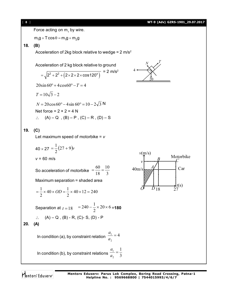# [ **8** ] **WT-9 (Adv) GZRS-1901\_29.07.2017**

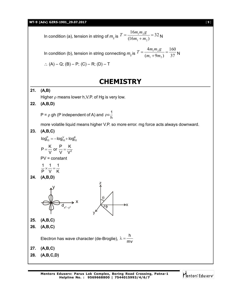## **WT-9 (Adv) GZRS-1901\_29.07.2017** [ **9** ]

In condition (a), tension in string of 
$$
m_2
$$
 is  $T = \frac{16m_1m_2g}{(16m_1+m_2)} = 32$  N

In condition (b), tension in string connecting  $m_2$  is  $I = \frac{I}{(m_1 + 9m_2)} = \frac{1}{37}$ 160  $(m_1 + 9m_2)$ 4  $1 + 2m_2$  $\frac{1^{11}25}{2}$  =  $^{+}$  $=$  $m_1 + 9m$  $T = \frac{4m_1m_2g}{(m_1+9m_2)} = \frac{160}{37}N$  $(A) - Q$ ; (B) – P; (C) – R; (D) – T

# **CHEMISTRY**

**21. (A,B)**

Higher  $\rho$  means lower h, V.P. of Hg is very low.

**22. (A,B,D)**

P =  $\rho$  gh (P independent of A) and  $\rho \alpha \frac{1}{h}$ 

more volatile liquid means higher V.P. so more error. mg force acts always downward.

**23. (A,B,C)**

$$
\log_{10}^P = -\log_{10}^V + \log_{10}^K
$$

$$
P = \frac{K}{V} \text{ or } \frac{P}{V} = \frac{K}{V^2}
$$

V V V

$$
PV = constant
$$

$$
\frac{1}{P} \times \frac{1}{V} = \frac{1}{K}
$$

$$
24. (A,B,D)
$$



- **25. (A,B,C)**
- **26. (A,B,C)**

Electron has wave character (de-Broglie), h mv  $\lambda = -$ 

- **27. (A,B,C)**
- **28. (A,B,C,D)**

 $\overline{\theta}$ 

z

y

φ

₹X

Mentors Eduserv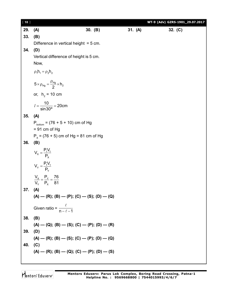| $[10]$ |                                                               |         |         | WT-9 (Adv) GZRS-1901_29.07.2017 |
|--------|---------------------------------------------------------------|---------|---------|---------------------------------|
| 29.    | (A)                                                           | 30. (B) | 31. (A) | 32. $(C)$                       |
| 33.    | (B)                                                           |         |         |                                 |
|        | Difference in vertical height $=$ 5 cm.                       |         |         |                                 |
| 34.    | (D)                                                           |         |         |                                 |
|        | Vertical difference of height is 5 cm.                        |         |         |                                 |
|        | Now,                                                          |         |         |                                 |
|        | $\rho_1 h_1 = \rho_2 h_2$                                     |         |         |                                 |
|        | $5 \times \rho_{Hg} = \frac{\rho_{Hg}}{2} \times h_2$         |         |         |                                 |
|        | or, $h_2 = 10$ cm                                             |         |         |                                 |
|        | $l = \frac{10}{\sin 30^\circ} = 20$ cm                        |         |         |                                 |
| 35.    | (A)                                                           |         |         |                                 |
|        | $P_{bottom} = (76 + 5 + 10)$ cm of Hg                         |         |         |                                 |
|        | $= 91$ cm of Hg                                               |         |         |                                 |
|        | $P_x = (76 + 5)$ cm of Hg = 81 cm of Hg                       |         |         |                                 |
| 36.    | (B)                                                           |         |         |                                 |
|        | $V_{x} = \frac{P_{1}V_{1}}{P_{x}}$                            |         |         |                                 |
|        | $V_{Y} = \frac{P_{1}V_{1}}{P_{Y}}$                            |         |         |                                 |
|        | $\frac{V_{x}}{V_{y}} = \frac{P_{y}}{P_{x}} = \frac{76}{81}$   |         |         |                                 |
| 37.    | (A)                                                           |         |         |                                 |
|        | $(A)$ – $(R)$ ; $(B)$ – $(P)$ ; $(C)$ – $(S)$ ; $(D)$ – $(Q)$ |         |         |                                 |
|        | Given ratio = $\frac{\ell}{n-\ell-1}$                         |         |         |                                 |
| 38.    | (B)                                                           |         |         |                                 |
|        | $(A)$ — (Q); (B) — (S); (C) — (P); (D) — (R)                  |         |         |                                 |
| 39.    | (D)                                                           |         |         |                                 |
|        | $(A)$ — $(R)$ ; $(B)$ — $(S)$ ; $(C)$ — $(P)$ ; $(D)$ — $(Q)$ |         |         |                                 |
| 40.    | (C)                                                           |         |         |                                 |
|        | $(A)$ — $(R)$ ; $(B)$ — $(Q)$ ; $(C)$ — $(P)$ ; $(D)$ — $(S)$ |         |         |                                 |
|        |                                                               |         |         |                                 |

Mentors<sup>e</sup> Eduserv<sup>-</sup>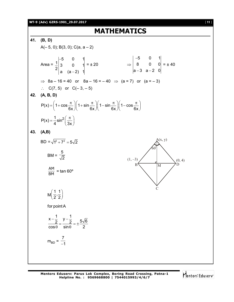### **WT-9 (Adv) GZRS-1901\_29.07.2017** [ **11** ]

**MATHEMATICS 41. (B, D)**  $A(-5, 0)$ ; B(3, 0); C(a, a - 2) Area = 5 0 1  $\frac{1}{2}$  3 0 1  $2|a (a-2) 1|$  $\overline{\phantom{a}}$  $\overline{\phantom{a}}$  $= \pm 20$   $\Rightarrow$ 5 0 1 8 0 0 a-3 a-2 O| --3 a-2  $= 140$  $\Rightarrow$  8a – 16 = 40 or 8a – 16 = – 40  $\Rightarrow$  (a = 7) or (a = – 3)  $\therefore$  C(7, 5) or C(-3, -5) **42. (A, B, D)**  $P(x) = 1 + \cos \frac{\pi}{2} \parallel 1 + \sin \frac{\pi}{2} \parallel 1 - \sin \frac{\pi}{2} \parallel 1 - \cos \frac{\pi}{2} \parallel 1$  $6x$   $\leftarrow$   $6x$   $\leftarrow$   $6x$   $\leftarrow$   $6x$  $=\left(1+\cos\frac{\pi}{6x}\right)\left(1+\sin\frac{\pi}{6x}\right)\left(1-\sin\frac{\pi}{6x}\right)\left(1-\cos\frac{\pi}{6x}\right)$  $P(x) = \frac{1}{2} \sin^2$ 4  $\sim$  (3x  $=\frac{1}{4}\sin^2\left(\frac{\pi}{3x}\right)$ **43. (A,B)**  $BD = \sqrt{1^2 + 7^2} = 5\sqrt{2}$ BM = 5 2  $\frac{\mathsf{AM}}{\mathsf{BM}}$  = tan 60° C  $B \setminus W$  D  $(1, -3)$   $(0, 4)$  $60^\circ$  $A(x, y)$ M  $\frac{1}{2}$ ,  $\frac{1}{2}$  $\left(\frac{1}{2},\frac{1}{2}\right)$ for point A  $\frac{x-\frac{1}{2}}{1} = \frac{y-\frac{1}{2}}{1} = +\frac{5\sqrt{6}}{1}$  $cos \theta$  sin $\theta$  2  $-\frac{1}{2}$  y- $=\frac{2}{100}=\pm\frac{5}{10}$  $\theta$  sin $\theta$  $m_{BD} =$ 7  $-1$ 

Mentors Eduserv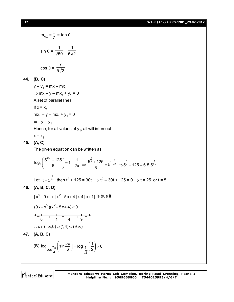[ **12** ] **WT-9 (Adv) GZRS-1901\_29.07.2017**

$$
m_{AC} = \frac{1}{7} = \tan \theta
$$
  
\n
$$
\sin \theta = \frac{1}{\sqrt{50}} = \frac{1}{5\sqrt{2}}
$$
  
\n
$$
\cos \theta = \frac{7}{5\sqrt{2}}
$$
  
\n44. (B, C)  
\n
$$
y - y_1 = mx - mx_1
$$
  
\n
$$
\Rightarrow mx - y - mx_1 + y_1 = 0
$$
  
\nA set of parallel lines  
\nIf x = x<sub>1</sub>,  
\n
$$
mx_1 - y - mx_1 + y_1 = 0
$$
  
\n
$$
\Rightarrow y = y_1
$$
  
\nHence, for all values of y<sub>1</sub>, all will intersect  
\nx = x<sub>1</sub>  
\n45. (A, C)  
\nThe given equation can be written as  
\n
$$
\log_8 \left( \frac{5^{1/x} + 125}{6} \right) = 1 + \frac{1}{2x} \Rightarrow \frac{5^{\frac{1}{x}} + 125}{6} = 5^{1-\frac{1}{2x}} \Rightarrow 5^{\frac{1}{x}} + 125 = 6.5.5^{\frac{1}{2x}}
$$
  
\nLet t = 5<sup>2x</sup>/<sub>2</sub>, then t<sup>2</sup> + 125 = 30t ⇒ t<sup>2</sup> - 30t + 125 = 0 ⇒ t = 25 or t = 5  
\n46. (A, B, C, D)  
\n
$$
|x^2 - 9x| + |x^2 - 5x + 4| > 4 |x + 1| \text{ is true if}
$$
\n
$$
(9x - x^2)(x^2 - 5x + 4) < 0
$$
  
\n
$$
\leftarrow \frac{1}{0} + \frac{1}{1} = \frac{1}{4} + \frac{1}{9} = \frac{1}{4}
$$
  
\n
$$
\therefore x \in (-\infty, 0) \cup (1, 4) \cup (9, \infty)
$$
  
\n47. (A, B, C)  
\n(B) log<sub>os</sub>  $\frac{\pi}{4}$  (sin  $\frac{5\pi}{6}$ ) = log<sub>1</sub>  $\left(\frac{1}{2}\right) > 0$ 

Mentors<sup>®</sup> Eduserv<sup>®</sup>

1 1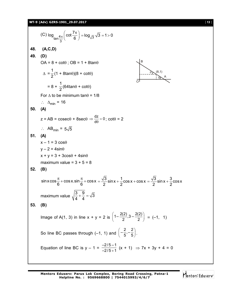**WT-9 (Adv) GZRS-1901\_29.07.2017** [ **13** ]

(C) log<sub>tan</sub>4<sub>π</sub> (cot 
$$
\frac{7\pi}{6}
$$
) = log<sub>√3</sub>√3 = 1 > 0  
\n48. (**A,C,D**)  
\n49. (**D**)  
\n(A, C, D)  
\n(A) = 8 + cotθ; OB = 1 + 8tanθ  
\n
$$
\Delta = \frac{1}{2}(1 + 8\tan\theta)(8 + cot\theta)
$$
\nFor Δ to be minimum tanθ = 1/8  
\n $\therefore \Delta_{min} = 16$   
\n50. (**A**)  
\n $z = AB = cosec\theta + 8sec\theta \Rightarrow \frac{dz}{d\theta} = 0$ ; cotθ = 2  
\n $\therefore AB_{min} = 5\sqrt{5}$   
\n51. (**A**)  
\n $x - 1 = 3 cos\theta$   
\n $y - 2 = 4 sin\theta$   
\n $x + y = 3 + 3cos\theta + 4 sin\theta$   
\n $x + y = 3 + 3cos\theta + 4 sin\theta$   
\n52. (**B**)  
\n $sin x cos \frac{\pi}{6} + cos x . sin \frac{\pi}{6} + cos x = \frac{\sqrt{3}}{2} sin x + \frac{1}{2} cos x + cos x = \frac{\sqrt{3}}{2} sin x + \frac{3}{2} cos x$   
\nmaximum value  $\sqrt{\frac{3}{4} + \frac{9}{4}} = \sqrt{3}$   
\n53. (**B**)  
\nImage of A(1, 3) in line x + y = 2 is  $\left(1 - \frac{2(2)}{2}, 3 - \frac{2(2)}{2}\right) = (-1, 1)$   
\nSo line BC passes through (-1, 1) and  $\left(-\frac{2}{5}, -\frac{2}{5}\right)$ .  
\nEquation of line BC is y - 1 =  $\frac{-2/5 - 1}{-2/5 + 1}$  (x + 1) ⇒ 7x + 3y + 4 = 0

**Mentors Eduserv: Parus Lok Complex, Boring Road Crossing, Patna-1 Helpline No. : 9569668800 | 7544015993/4/6/7**

Mentors<sup>e</sup> Eduserv<sup>-</sup>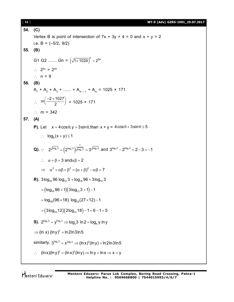| $[14]$  | WT-9 (Adv) GZRS-1901_29.07.2017                                                                                                                                 |  |  |  |
|---------|-----------------------------------------------------------------------------------------------------------------------------------------------------------------|--|--|--|
| 54. (C) |                                                                                                                                                                 |  |  |  |
|         | Vertex B is point of intersection of $7x + 3y + 4 = 0$ and $x + y = 2$                                                                                          |  |  |  |
|         | i.e. B = $(-5/2, 9/2)$                                                                                                                                          |  |  |  |
| 55.     | (B)                                                                                                                                                             |  |  |  |
|         | G1 G2  Gn = $(\sqrt{1 \times 1024})^n = 2^{5n}$                                                                                                                 |  |  |  |
|         | $\therefore$ 2 <sup>5n</sup> = 2 <sup>45</sup>                                                                                                                  |  |  |  |
|         | $\therefore$ n = 9                                                                                                                                              |  |  |  |
| 56.     | (B)                                                                                                                                                             |  |  |  |
|         | $A_1 + A_2 + A_3 + \dots + A_{m-1} + A_m = 1025 \times 171$                                                                                                     |  |  |  |
|         | $\therefore$ m $\left(\frac{-2+1027}{2}\right)$ = 1025 × 171                                                                                                    |  |  |  |
|         | : $m = 342$                                                                                                                                                     |  |  |  |
| 57.     | (A)                                                                                                                                                             |  |  |  |
|         | <b>P).</b> Let $x = 4\cos\theta$ , $y = 3\sin\theta$ , than $x + y = 4\cos\theta + 3\sin\theta \le 5$                                                           |  |  |  |
|         | $\therefore$ $\log_5(x+y) \leq 1$                                                                                                                               |  |  |  |
|         | <b>Q).</b> $\therefore$ $2^{\sqrt{\log_2 3}} = (2^{\log_2 3})^{\frac{1}{\sqrt{\log_2 3}}} = 3^{\sqrt{\log_3 2}}$ and $3^{\log_3 2} - 2^{\log_2 3} = 2 - 3 = -1$ |  |  |  |
|         | $\therefore$ $\alpha + \beta = 3$ and $\alpha\beta = 2$                                                                                                         |  |  |  |
|         | $\Rightarrow \alpha^2 + \alpha \beta + \beta^2 = (\alpha + \beta)^2 - \alpha \beta = 7$                                                                         |  |  |  |
|         | <b>R).</b> 3log <sub>18</sub> 96 log <sub>12</sub> 3 + log <sub>18</sub> 96 + 3log <sub>12</sub> 3                                                              |  |  |  |
|         | $=(log_{18} 96 + 1)(3log_{12} 3 + 1) - 1$                                                                                                                       |  |  |  |
|         | $=$ log <sub>18</sub> (96 × 18). log <sub>12</sub> (27 × 12) – 1                                                                                                |  |  |  |
|         | $= (3log_{18}12)(2log_{12}18) - 1 = 6 - 1 = 5$                                                                                                                  |  |  |  |
|         | <b>S).</b> $2^{\log_x 3} = y^{\log_5 y} \Rightarrow \log_x 3 \ln 2 = \log_5 y \ln y$                                                                            |  |  |  |
|         | $\Rightarrow$ (ln x) (lny) <sup>2</sup> = ln2ln3ln5                                                                                                             |  |  |  |
|         | similarly, $3^{\log_{y} 5} = x^{\log_{2} x} \Rightarrow (\ln x)^{2} (\ln y) = \ln 2 \ln 3 \ln 5$                                                                |  |  |  |
|         | $(ln x)(ln y)^2 = (ln x)^2(ln y) \Rightarrow ln y = ln x \Rightarrow x = y$                                                                                     |  |  |  |

Mentors<sup>e</sup> Eduserv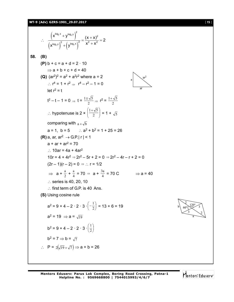# **WT-9 (Adv) GZRS-1901\_29.07.2017** [ **15** ]

$$
\frac{(x^{\log_2 x} + y^{\log_2 x})^2}{(x^{\log_2 x})^2 + (y^{\log_2 x})^2} = \frac{(x + x)^2}{x^2 + x^2} = 2
$$
  
\n58. **(B)**  
\n**(P)** b + c = a + d = 2 · 10  
\n⇒ a + b + c + d = 40  
\n**(Q)** (ar<sup>2</sup>)<sup>2</sup> = a<sup>2</sup> + a<sup>2</sup>r<sup>2</sup> where a = 2  
\n∴ r<sup>4</sup> = 1 + r<sup>2</sup> ⇒ r<sup>2</sup> = r<sup>2</sup> = 1 + 0  
\nlet r<sup>2</sup> = t  
\n $t^2 - t - 1 = 0 \Rightarrow t = \frac{1 + \sqrt{5}}{2} \Rightarrow t^2 = \frac{1 + \sqrt{5}}{2}$   
\n∴ hypotenuse is 2 ×  $\left(\frac{1 + \sqrt{5}}{2}\right) = 1 + \sqrt{5}$   
\ncomparing with  $a + \sqrt{b}$   
\na = 1, b = 5 ... a<sup>2</sup> + b<sup>2</sup> = 1 + 25 = 26  
\n**(R)** a, ar, a<sup>2</sup> → G = |r| < 1  
\na + ar + ar<sup>2</sup> = 270  
\n∴ 10ar = 4a + 4ar<sup>2</sup>  
\n10r = 4 + 4r<sup>2</sup> ⇒ 2r<sup>2</sup> - 5r + 2 = 0 ⇒ 2r<sup>2</sup> - 4r - r + 2 = 0  
\n(2r - 1)(r - 2) = 0 ⇒ ∴ r = 1/2  
\n⇒ a +  $\frac{a}{2}$  +  $\frac{a}{4}$  = 70 ⇒ a +  $\frac{3a}{4}$  = 70 C ⇒ a = 40  
\n∴ series is 40, 20, 10  
\n∴ first term of G.P. is 40 Ans.  
\n**(S)** Using cosine rule  
\n $a^2 = 9 + 4 - 2 \cdot 2 \cdot 3 \cdot \left(-\frac{1}{2}\right) = 13 + 6 = 19$   
\n $a^2 = 19 \Rightarrow a = \sqrt{19}$   
\nb<sup>2</sup> = 9 + 4 - 2 ·

Mentors<sup>e</sup> Eduserv<sup>-</sup>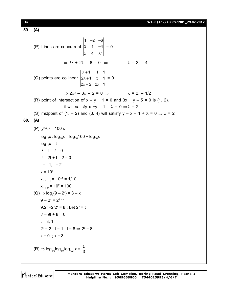**59. (A)** (P) Lines are concurrent  $\lambda$  4  $\lambda^2$ 1 –2 –6 3 1 –4 4  $= 0$  $\Rightarrow \lambda^2 + 2\lambda - 8 = 0 \Rightarrow \lambda = 2, -4$ (Q) points are collinear  $\lambda + 1$  $\lambda + 1$  $\lambda + 2$  2 $\lambda$ 1 1 1  $2\lambda + 1$  3 1  $2\lambda + 2$  2 $\lambda$  1  $= 0$  $\Rightarrow$  2 $\lambda^2 - 3\lambda - 2 = 0 \Rightarrow \lambda = 2, -1/2$ (R) point of intersection of  $x - y + 1 = 0$  and  $3x + y - 5 = 0$  is (1, 2). it will satisfy  $x +y - 1 - \lambda = 0 \Rightarrow \lambda = 2$ (S) midpoint of  $(1, -2)$  and  $(3, 4)$  will satisfy  $y - x - 1 + \lambda = 0 \Rightarrow \lambda = 2$ **60. (A)** (P)  $x^{\log_{10} x}$  = 100 x  $log_{10}x$ .  $log_{10}x = log_{10}100 + log_{10}x$  $log_{10}x = t$  $t^2 - t - 2 = 0$  $t^2 - 2t + t - 2 = 0$  $t = -1, t = 2$  $x = 10^{t}$  $x|_{t = -1} = 10^{-1} = 1/10$  $x|_{t = 2} = 10^2 = 100$  $(Q) \Rightarrow log_2(9 - 2^x) = 3 - x$  $9 - 2^x = 2^{3-x}$ 9.2<sup>x</sup> –2<sup>x</sup>2 x = 8 ; Let 2<sup>x</sup> = t t 2 – 9t + 8 = 0  $t = 8, 1$  $2^x = 2$  t = 1; t = 8  $\Rightarrow$  2<sup>x</sup> = 8  $x = 0$  ;  $x = 3$  $\zeta({\mathsf{R}}) \Rightarrow \mathsf{log}_{1/8}\mathsf{log}_{1/4}\mathsf{log}_{1/2} \; {\mathsf{x}} = \frac{1}{3}$ 3